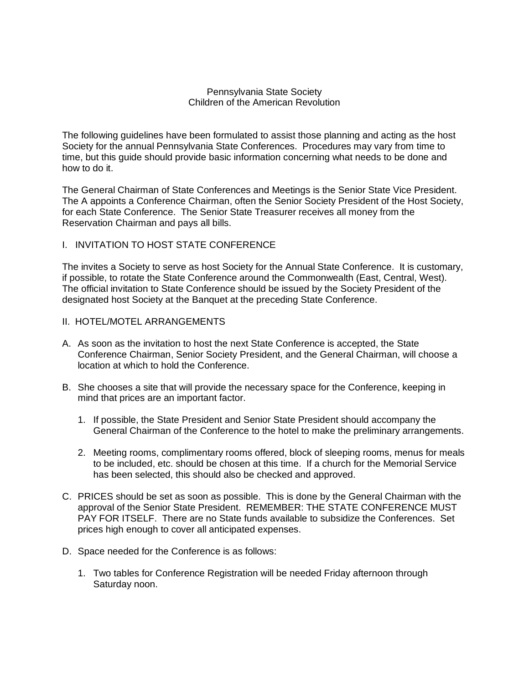## Pennsylvania State Society Children of the American Revolution

The following guidelines have been formulated to assist those planning and acting as the host Society for the annual Pennsylvania State Conferences. Procedures may vary from time to time, but this guide should provide basic information concerning what needs to be done and how to do it.

The General Chairman of State Conferences and Meetings is the Senior State Vice President. The A appoints a Conference Chairman, often the Senior Society President of the Host Society, for each State Conference. The Senior State Treasurer receives all money from the Reservation Chairman and pays all bills.

# I. INVITATION TO HOST STATE CONFERENCE

The invites a Society to serve as host Society for the Annual State Conference. It is customary, if possible, to rotate the State Conference around the Commonwealth (East, Central, West). The official invitation to State Conference should be issued by the Society President of the designated host Society at the Banquet at the preceding State Conference.

#### II. HOTEL/MOTEL ARRANGEMENTS

- A. As soon as the invitation to host the next State Conference is accepted, the State Conference Chairman, Senior Society President, and the General Chairman, will choose a location at which to hold the Conference.
- B. She chooses a site that will provide the necessary space for the Conference, keeping in mind that prices are an important factor.
	- 1. If possible, the State President and Senior State President should accompany the General Chairman of the Conference to the hotel to make the preliminary arrangements.
	- 2. Meeting rooms, complimentary rooms offered, block of sleeping rooms, menus for meals to be included, etc. should be chosen at this time. If a church for the Memorial Service has been selected, this should also be checked and approved.
- C. PRICES should be set as soon as possible. This is done by the General Chairman with the approval of the Senior State President. REMEMBER: THE STATE CONFERENCE MUST PAY FOR ITSELF. There are no State funds available to subsidize the Conferences. Set prices high enough to cover all anticipated expenses.
- D. Space needed for the Conference is as follows:
	- 1. Two tables for Conference Registration will be needed Friday afternoon through Saturday noon.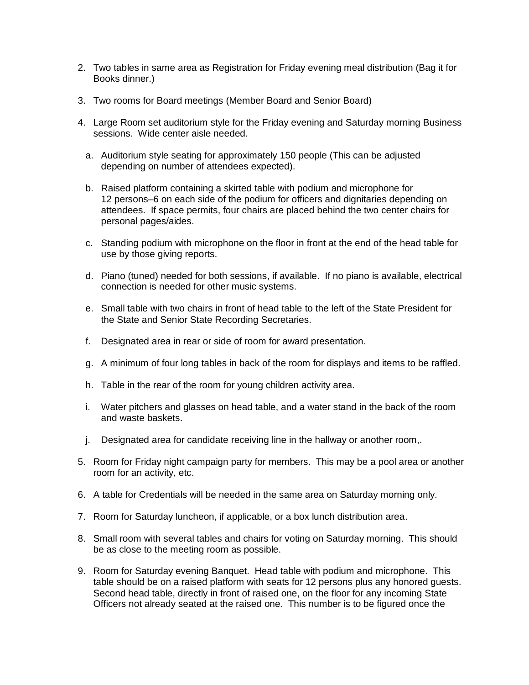- 2. Two tables in same area as Registration for Friday evening meal distribution (Bag it for Books dinner.)
- 3. Two rooms for Board meetings (Member Board and Senior Board)
- 4. Large Room set auditorium style for the Friday evening and Saturday morning Business sessions. Wide center aisle needed.
	- a. Auditorium style seating for approximately 150 people (This can be adjusted depending on number of attendees expected).
	- b. Raised platform containing a skirted table with podium and microphone for 12 persons–6 on each side of the podium for officers and dignitaries depending on attendees. If space permits, four chairs are placed behind the two center chairs for personal pages/aides.
	- c. Standing podium with microphone on the floor in front at the end of the head table for use by those giving reports.
	- d. Piano (tuned) needed for both sessions, if available. If no piano is available, electrical connection is needed for other music systems.
	- e. Small table with two chairs in front of head table to the left of the State President for the State and Senior State Recording Secretaries.
	- f. Designated area in rear or side of room for award presentation.
	- g. A minimum of four long tables in back of the room for displays and items to be raffled.
	- h. Table in the rear of the room for young children activity area.
	- i. Water pitchers and glasses on head table, and a water stand in the back of the room and waste baskets.
	- j. Designated area for candidate receiving line in the hallway or another room,.
- 5. Room for Friday night campaign party for members. This may be a pool area or another room for an activity, etc.
- 6. A table for Credentials will be needed in the same area on Saturday morning only.
- 7. Room for Saturday luncheon, if applicable, or a box lunch distribution area.
- 8. Small room with several tables and chairs for voting on Saturday morning. This should be as close to the meeting room as possible.
- 9. Room for Saturday evening Banquet. Head table with podium and microphone. This table should be on a raised platform with seats for 12 persons plus any honored guests. Second head table, directly in front of raised one, on the floor for any incoming State Officers not already seated at the raised one. This number is to be figured once the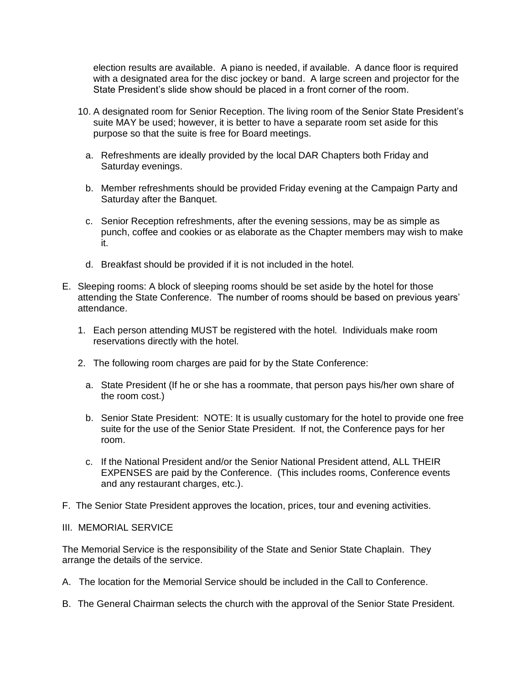election results are available. A piano is needed, if available. A dance floor is required with a designated area for the disc jockey or band. A large screen and projector for the State President's slide show should be placed in a front corner of the room.

- 10. A designated room for Senior Reception. The living room of the Senior State President's suite MAY be used; however, it is better to have a separate room set aside for this purpose so that the suite is free for Board meetings.
	- a. Refreshments are ideally provided by the local DAR Chapters both Friday and Saturday evenings.
	- b. Member refreshments should be provided Friday evening at the Campaign Party and Saturday after the Banquet.
	- c. Senior Reception refreshments, after the evening sessions, may be as simple as punch, coffee and cookies or as elaborate as the Chapter members may wish to make it.
	- d. Breakfast should be provided if it is not included in the hotel.
- E. Sleeping rooms: A block of sleeping rooms should be set aside by the hotel for those attending the State Conference. The number of rooms should be based on previous years' attendance.
	- 1. Each person attending MUST be registered with the hotel. Individuals make room reservations directly with the hotel.
	- 2. The following room charges are paid for by the State Conference:
		- a. State President (If he or she has a roommate, that person pays his/her own share of the room cost.)
		- b. Senior State President: NOTE: It is usually customary for the hotel to provide one free suite for the use of the Senior State President. If not, the Conference pays for her room.
		- c. If the National President and/or the Senior National President attend, ALL THEIR EXPENSES are paid by the Conference. (This includes rooms, Conference events and any restaurant charges, etc.).
- F. The Senior State President approves the location, prices, tour and evening activities.

#### III. MEMORIAL SERVICE

The Memorial Service is the responsibility of the State and Senior State Chaplain. They arrange the details of the service.

- A. The location for the Memorial Service should be included in the Call to Conference.
- B. The General Chairman selects the church with the approval of the Senior State President.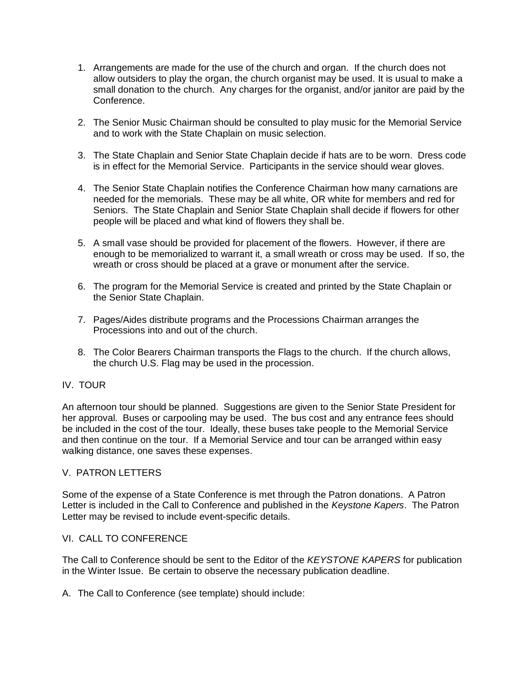- 1. Arrangements are made for the use of the church and organ. If the church does not allow outsiders to play the organ, the church organist may be used. It is usual to make a small donation to the church. Any charges for the organist, and/or janitor are paid by the Conference.
- 2. The Senior Music Chairman should be consulted to play music for the Memorial Service and to work with the State Chaplain on music selection.
- 3. The State Chaplain and Senior State Chaplain decide if hats are to be worn. Dress code is in effect for the Memorial Service. Participants in the service should wear gloves.
- 4. The Senior State Chaplain notifies the Conference Chairman how many carnations are needed for the memorials. These may be all white, OR white for members and red for Seniors. The State Chaplain and Senior State Chaplain shall decide if flowers for other people will be placed and what kind of flowers they shall be.
- 5. A small vase should be provided for placement of the flowers. However, if there are enough to be memorialized to warrant it, a small wreath or cross may be used. If so, the wreath or cross should be placed at a grave or monument after the service.
- 6. The program for the Memorial Service is created and printed by the State Chaplain or the Senior State Chaplain.
- 7. Pages/Aides distribute programs and the Processions Chairman arranges the Processions into and out of the church.
- 8. The Color Bearers Chairman transports the Flags to the church. If the church allows, the church U.S. Flag may be used in the procession.

# IV. TOUR

An afternoon tour should be planned. Suggestions are given to the Senior State President for her approval. Buses or carpooling may be used. The bus cost and any entrance fees should be included in the cost of the tour. Ideally, these buses take people to the Memorial Service and then continue on the tour. If a Memorial Service and tour can be arranged within easy walking distance, one saves these expenses.

# V. PATRON LETTERS

Some of the expense of a State Conference is met through the Patron donations. A Patron Letter is included in the Call to Conference and published in the *Keystone Kapers*. The Patron Letter may be revised to include event-specific details.

#### VI. CALL TO CONFERENCE

The Call to Conference should be sent to the Editor of the *KEYSTONE KAPERS* for publication in the Winter Issue. Be certain to observe the necessary publication deadline.

A. The Call to Conference (see template) should include: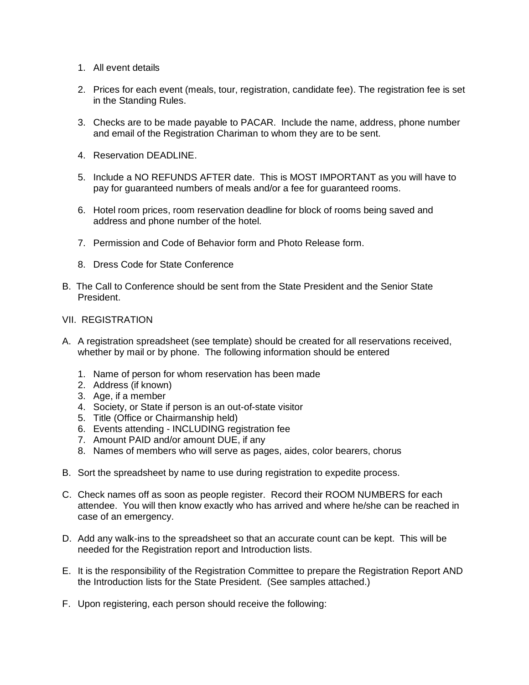- 1. All event details
- 2. Prices for each event (meals, tour, registration, candidate fee). The registration fee is set in the Standing Rules.
- 3. Checks are to be made payable to PACAR. Include the name, address, phone number and email of the Registration Chariman to whom they are to be sent.
- 4. Reservation DEADLINE.
- 5. Include a NO REFUNDS AFTER date. This is MOST IMPORTANT as you will have to pay for guaranteed numbers of meals and/or a fee for guaranteed rooms.
- 6. Hotel room prices, room reservation deadline for block of rooms being saved and address and phone number of the hotel.
- 7. Permission and Code of Behavior form and Photo Release form.
- 8. Dress Code for State Conference
- B. The Call to Conference should be sent from the State President and the Senior State President.
- VII. REGISTRATION
- A. A registration spreadsheet (see template) should be created for all reservations received, whether by mail or by phone. The following information should be entered
	- 1. Name of person for whom reservation has been made
	- 2. Address (if known)
	- 3. Age, if a member
	- 4. Society, or State if person is an out-of-state visitor
	- 5. Title (Office or Chairmanship held)
	- 6. Events attending INCLUDING registration fee
	- 7. Amount PAID and/or amount DUE, if any
	- 8. Names of members who will serve as pages, aides, color bearers, chorus
- B. Sort the spreadsheet by name to use during registration to expedite process.
- C. Check names off as soon as people register. Record their ROOM NUMBERS for each attendee. You will then know exactly who has arrived and where he/she can be reached in case of an emergency.
- D. Add any walk-ins to the spreadsheet so that an accurate count can be kept. This will be needed for the Registration report and Introduction lists.
- E. It is the responsibility of the Registration Committee to prepare the Registration Report AND the Introduction lists for the State President. (See samples attached.)
- F. Upon registering, each person should receive the following: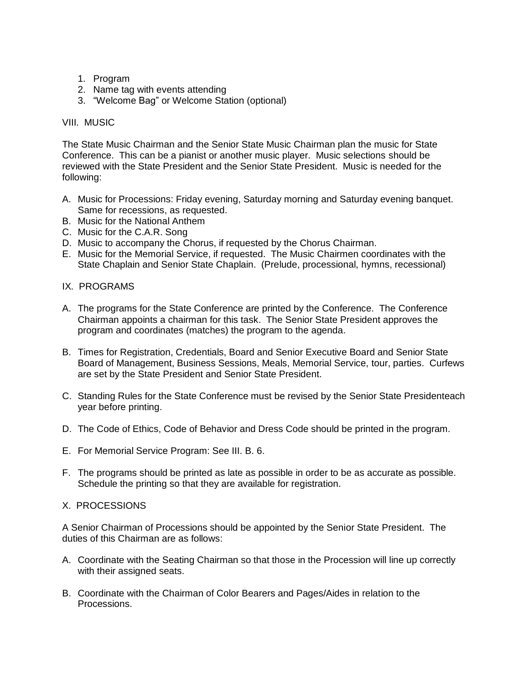- 1. Program
- 2. Name tag with events attending
- 3. "Welcome Bag" or Welcome Station (optional)

## VIII. MUSIC

The State Music Chairman and the Senior State Music Chairman plan the music for State Conference. This can be a pianist or another music player. Music selections should be reviewed with the State President and the Senior State President. Music is needed for the following:

- A. Music for Processions: Friday evening, Saturday morning and Saturday evening banquet. Same for recessions, as requested.
- B. Music for the National Anthem
- C. Music for the C.A.R. Song
- D. Music to accompany the Chorus, if requested by the Chorus Chairman.
- E. Music for the Memorial Service, if requested. The Music Chairmen coordinates with the State Chaplain and Senior State Chaplain. (Prelude, processional, hymns, recessional)

# IX. PROGRAMS

- A. The programs for the State Conference are printed by the Conference. The Conference Chairman appoints a chairman for this task. The Senior State President approves the program and coordinates (matches) the program to the agenda.
- B. Times for Registration, Credentials, Board and Senior Executive Board and Senior State Board of Management, Business Sessions, Meals, Memorial Service, tour, parties. Curfews are set by the State President and Senior State President.
- C. Standing Rules for the State Conference must be revised by the Senior State Presidenteach year before printing.
- D. The Code of Ethics, Code of Behavior and Dress Code should be printed in the program.
- E. For Memorial Service Program: See III. B. 6.
- F. The programs should be printed as late as possible in order to be as accurate as possible. Schedule the printing so that they are available for registration.

#### X. PROCESSIONS

A Senior Chairman of Processions should be appointed by the Senior State President. The duties of this Chairman are as follows:

- A. Coordinate with the Seating Chairman so that those in the Procession will line up correctly with their assigned seats.
- B. Coordinate with the Chairman of Color Bearers and Pages/Aides in relation to the Processions.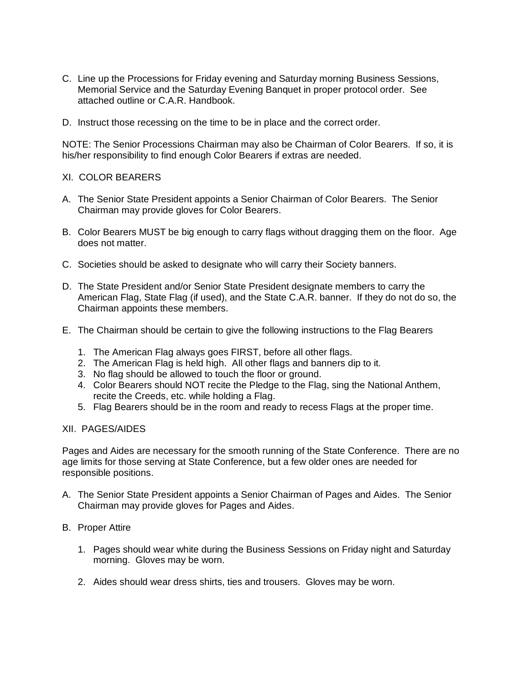- C. Line up the Processions for Friday evening and Saturday morning Business Sessions, Memorial Service and the Saturday Evening Banquet in proper protocol order. See attached outline or C.A.R. Handbook.
- D. Instruct those recessing on the time to be in place and the correct order.

NOTE: The Senior Processions Chairman may also be Chairman of Color Bearers. If so, it is his/her responsibility to find enough Color Bearers if extras are needed.

# XI. COLOR BEARERS

- A. The Senior State President appoints a Senior Chairman of Color Bearers. The Senior Chairman may provide gloves for Color Bearers.
- B. Color Bearers MUST be big enough to carry flags without dragging them on the floor. Age does not matter.
- C. Societies should be asked to designate who will carry their Society banners.
- D. The State President and/or Senior State President designate members to carry the American Flag, State Flag (if used), and the State C.A.R. banner. If they do not do so, the Chairman appoints these members.
- E. The Chairman should be certain to give the following instructions to the Flag Bearers
	- 1. The American Flag always goes FIRST, before all other flags.
	- 2. The American Flag is held high. All other flags and banners dip to it.
	- 3. No flag should be allowed to touch the floor or ground.
	- 4. Color Bearers should NOT recite the Pledge to the Flag, sing the National Anthem, recite the Creeds, etc. while holding a Flag.
	- 5. Flag Bearers should be in the room and ready to recess Flags at the proper time.

## XII. PAGES/AIDES

Pages and Aides are necessary for the smooth running of the State Conference. There are no age limits for those serving at State Conference, but a few older ones are needed for responsible positions.

A. The Senior State President appoints a Senior Chairman of Pages and Aides. The Senior Chairman may provide gloves for Pages and Aides.

#### B. Proper Attire

- 1. Pages should wear white during the Business Sessions on Friday night and Saturday morning. Gloves may be worn.
- 2. Aides should wear dress shirts, ties and trousers. Gloves may be worn.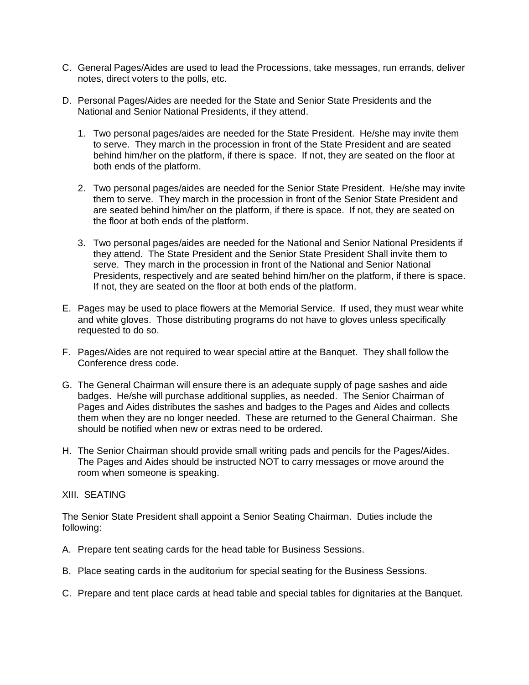- C. General Pages/Aides are used to lead the Processions, take messages, run errands, deliver notes, direct voters to the polls, etc.
- D. Personal Pages/Aides are needed for the State and Senior State Presidents and the National and Senior National Presidents, if they attend.
	- 1. Two personal pages/aides are needed for the State President. He/she may invite them to serve. They march in the procession in front of the State President and are seated behind him/her on the platform, if there is space. If not, they are seated on the floor at both ends of the platform.
	- 2. Two personal pages/aides are needed for the Senior State President. He/she may invite them to serve. They march in the procession in front of the Senior State President and are seated behind him/her on the platform, if there is space. If not, they are seated on the floor at both ends of the platform.
	- 3. Two personal pages/aides are needed for the National and Senior National Presidents if they attend. The State President and the Senior State President Shall invite them to serve. They march in the procession in front of the National and Senior National Presidents, respectively and are seated behind him/her on the platform, if there is space. If not, they are seated on the floor at both ends of the platform.
- E. Pages may be used to place flowers at the Memorial Service. If used, they must wear white and white gloves. Those distributing programs do not have to gloves unless specifically requested to do so.
- F. Pages/Aides are not required to wear special attire at the Banquet. They shall follow the Conference dress code.
- G. The General Chairman will ensure there is an adequate supply of page sashes and aide badges. He/she will purchase additional supplies, as needed. The Senior Chairman of Pages and Aides distributes the sashes and badges to the Pages and Aides and collects them when they are no longer needed. These are returned to the General Chairman. She should be notified when new or extras need to be ordered.
- H. The Senior Chairman should provide small writing pads and pencils for the Pages/Aides. The Pages and Aides should be instructed NOT to carry messages or move around the room when someone is speaking.

#### XIII. SEATING

The Senior State President shall appoint a Senior Seating Chairman. Duties include the following:

- A. Prepare tent seating cards for the head table for Business Sessions.
- B. Place seating cards in the auditorium for special seating for the Business Sessions.
- C. Prepare and tent place cards at head table and special tables for dignitaries at the Banquet.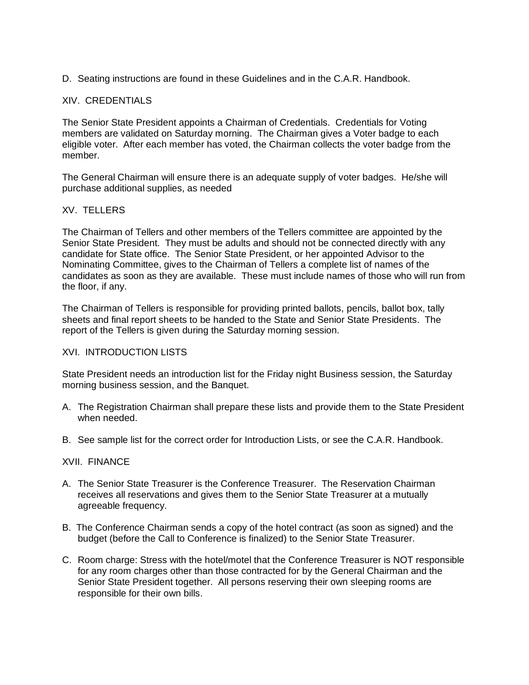D. Seating instructions are found in these Guidelines and in the C.A.R. Handbook.

# XIV. CREDENTIALS

The Senior State President appoints a Chairman of Credentials. Credentials for Voting members are validated on Saturday morning. The Chairman gives a Voter badge to each eligible voter. After each member has voted, the Chairman collects the voter badge from the member.

The General Chairman will ensure there is an adequate supply of voter badges. He/she will purchase additional supplies, as needed

# XV. TELLERS

The Chairman of Tellers and other members of the Tellers committee are appointed by the Senior State President. They must be adults and should not be connected directly with any candidate for State office. The Senior State President, or her appointed Advisor to the Nominating Committee, gives to the Chairman of Tellers a complete list of names of the candidates as soon as they are available. These must include names of those who will run from the floor, if any.

The Chairman of Tellers is responsible for providing printed ballots, pencils, ballot box, tally sheets and final report sheets to be handed to the State and Senior State Presidents. The report of the Tellers is given during the Saturday morning session.

#### XVI. INTRODUCTION LISTS

State President needs an introduction list for the Friday night Business session, the Saturday morning business session, and the Banquet.

- A. The Registration Chairman shall prepare these lists and provide them to the State President when needed.
- B. See sample list for the correct order for Introduction Lists, or see the C.A.R. Handbook.

## XVII. FINANCE

- A. The Senior State Treasurer is the Conference Treasurer. The Reservation Chairman receives all reservations and gives them to the Senior State Treasurer at a mutually agreeable frequency.
- B. The Conference Chairman sends a copy of the hotel contract (as soon as signed) and the budget (before the Call to Conference is finalized) to the Senior State Treasurer.
- C. Room charge: Stress with the hotel/motel that the Conference Treasurer is NOT responsible for any room charges other than those contracted for by the General Chairman and the Senior State President together. All persons reserving their own sleeping rooms are responsible for their own bills.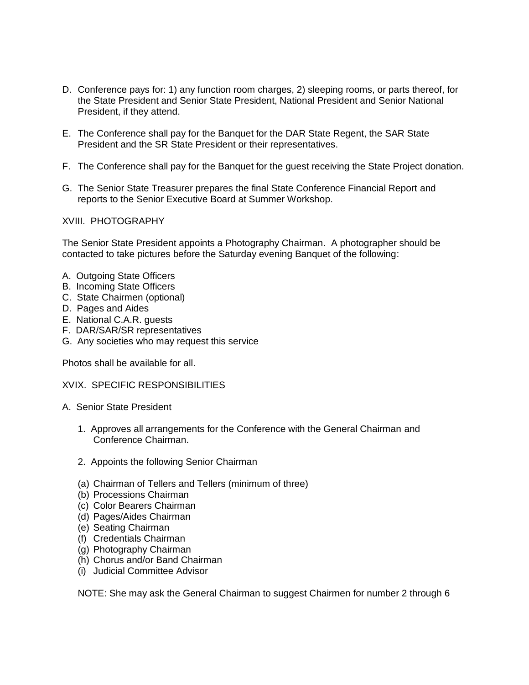- D. Conference pays for: 1) any function room charges, 2) sleeping rooms, or parts thereof, for the State President and Senior State President, National President and Senior National President, if they attend.
- E. The Conference shall pay for the Banquet for the DAR State Regent, the SAR State President and the SR State President or their representatives.
- F. The Conference shall pay for the Banquet for the guest receiving the State Project donation.
- G. The Senior State Treasurer prepares the final State Conference Financial Report and reports to the Senior Executive Board at Summer Workshop.

XVIII. PHOTOGRAPHY

The Senior State President appoints a Photography Chairman. A photographer should be contacted to take pictures before the Saturday evening Banquet of the following:

- A. Outgoing State Officers
- B. Incoming State Officers
- C. State Chairmen (optional)
- D. Pages and Aides
- E. National C.A.R. guests
- F. DAR/SAR/SR representatives
- G. Any societies who may request this service

Photos shall be available for all.

## XVIX. SPECIFIC RESPONSIBILITIES

- A. Senior State President
	- 1. Approves all arrangements for the Conference with the General Chairman and Conference Chairman.
	- 2. Appoints the following Senior Chairman
	- (a) Chairman of Tellers and Tellers (minimum of three)
	- (b) Processions Chairman
	- (c) Color Bearers Chairman
	- (d) Pages/Aides Chairman
	- (e) Seating Chairman
	- (f) Credentials Chairman
	- (g) Photography Chairman
	- (h) Chorus and/or Band Chairman
	- (i) Judicial Committee Advisor

NOTE: She may ask the General Chairman to suggest Chairmen for number 2 through 6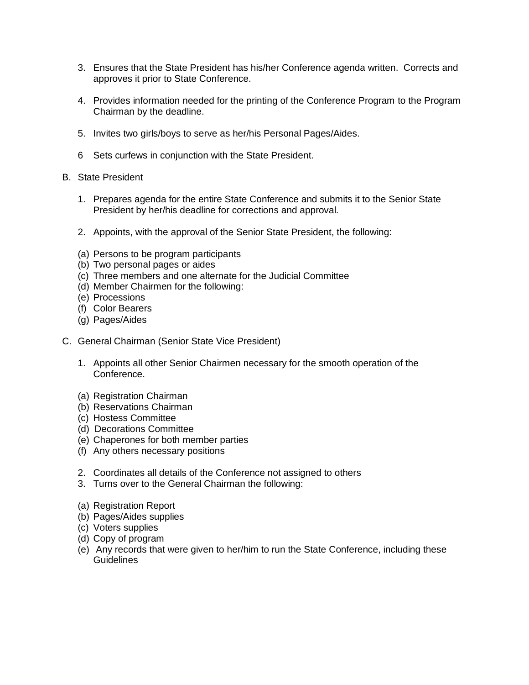- 3. Ensures that the State President has his/her Conference agenda written. Corrects and approves it prior to State Conference.
- 4. Provides information needed for the printing of the Conference Program to the Program Chairman by the deadline.
- 5. Invites two girls/boys to serve as her/his Personal Pages/Aides.
- 6 Sets curfews in conjunction with the State President.
- B. State President
	- 1. Prepares agenda for the entire State Conference and submits it to the Senior State President by her/his deadline for corrections and approval.
	- 2. Appoints, with the approval of the Senior State President, the following:
	- (a) Persons to be program participants
	- (b) Two personal pages or aides
	- (c) Three members and one alternate for the Judicial Committee
	- (d) Member Chairmen for the following:
	- (e) Processions
	- (f) Color Bearers
	- (g) Pages/Aides
- C. General Chairman (Senior State Vice President)
	- 1. Appoints all other Senior Chairmen necessary for the smooth operation of the Conference.
	- (a) Registration Chairman
	- (b) Reservations Chairman
	- (c) Hostess Committee
	- (d) Decorations Committee
	- (e) Chaperones for both member parties
	- (f) Any others necessary positions
	- 2. Coordinates all details of the Conference not assigned to others
	- 3. Turns over to the General Chairman the following:
	- (a) Registration Report
	- (b) Pages/Aides supplies
	- (c) Voters supplies
	- (d) Copy of program
	- (e) Any records that were given to her/him to run the State Conference, including these **Guidelines**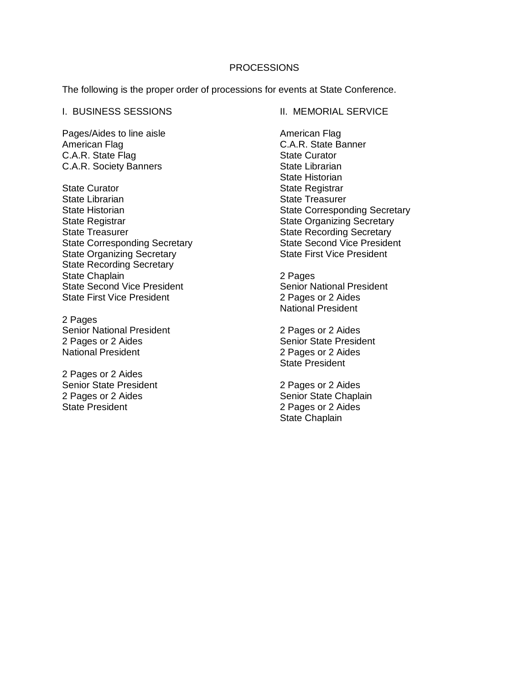# **PROCESSIONS**

The following is the proper order of processions for events at State Conference.

#### I. BUSINESS SESSIONS

Pages/Aides to line aisle American Flag C.A.R. State Flag C.A.R. Society Banners

State Curator State Librarian State Historian State Registrar State Treasurer State Corresponding Secretary State Organizing Secretary State Recording Secretary State Chaplain State Second Vice President State First Vice President

2 Pages Senior National President 2 Pages or 2 Aides National President

2 Pages or 2 Aides Senior State President 2 Pages or 2 Aides State President

II. MEMORIAL SERVICE

American Flag C.A.R. State Banner State Curator State Librarian State Historian State Registrar State Treasurer State Corresponding Secretary State Organizing Secretary State Recording Secretary State Second Vice President State First Vice President

2 Pages Senior National President 2 Pages or 2 Aides National President

2 Pages or 2 Aides Senior State President 2 Pages or 2 Aides State President

2 Pages or 2 Aides Senior State Chaplain 2 Pages or 2 Aides State Chaplain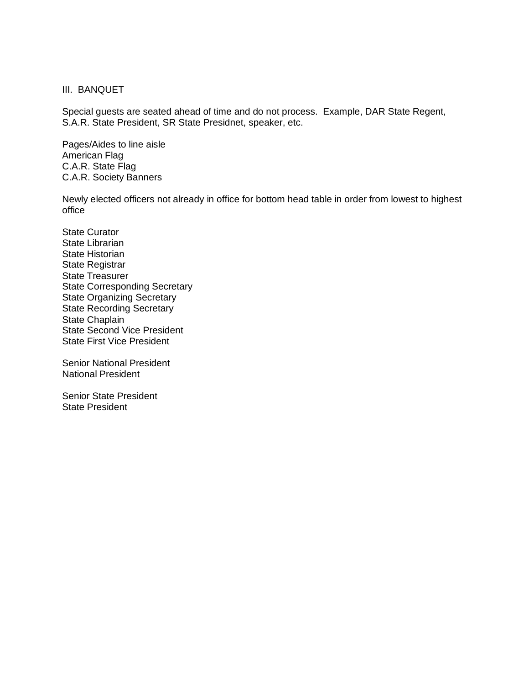#### III. BANQUET

Special guests are seated ahead of time and do not process. Example, DAR State Regent, S.A.R. State President, SR State Presidnet, speaker, etc.

Pages/Aides to line aisle American Flag C.A.R. State Flag C.A.R. Society Banners

Newly elected officers not already in office for bottom head table in order from lowest to highest office

State Curator State Librarian State Historian State Registrar State Treasurer State Corresponding Secretary State Organizing Secretary State Recording Secretary State Chaplain State Second Vice President State First Vice President

Senior National President National President

Senior State President State President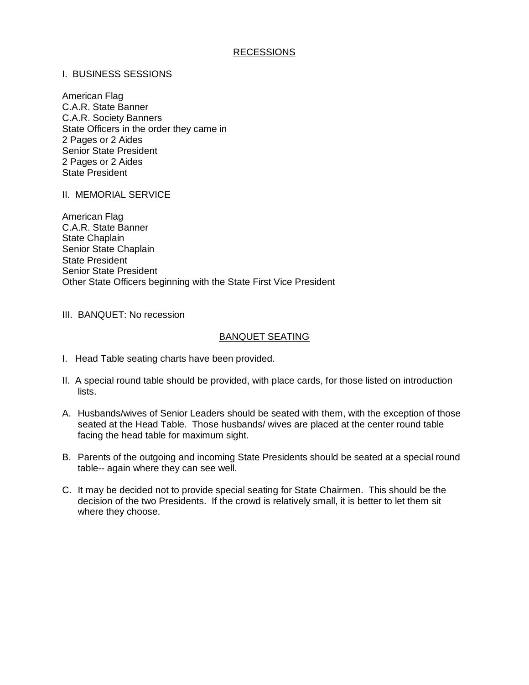# RECESSIONS

# I. BUSINESS SESSIONS

American Flag C.A.R. State Banner C.A.R. Society Banners State Officers in the order they came in 2 Pages or 2 Aides Senior State President 2 Pages or 2 Aides State President

II. MEMORIAL SERVICE

American Flag C.A.R. State Banner State Chaplain Senior State Chaplain State President Senior State President Other State Officers beginning with the State First Vice President

III. BANQUET: No recession

#### BANQUET SEATING

- I. Head Table seating charts have been provided.
- II. A special round table should be provided, with place cards, for those listed on introduction lists.
- A. Husbands/wives of Senior Leaders should be seated with them, with the exception of those seated at the Head Table. Those husbands/ wives are placed at the center round table facing the head table for maximum sight.
- B. Parents of the outgoing and incoming State Presidents should be seated at a special round table-- again where they can see well.
- C. It may be decided not to provide special seating for State Chairmen. This should be the decision of the two Presidents. If the crowd is relatively small, it is better to let them sit where they choose.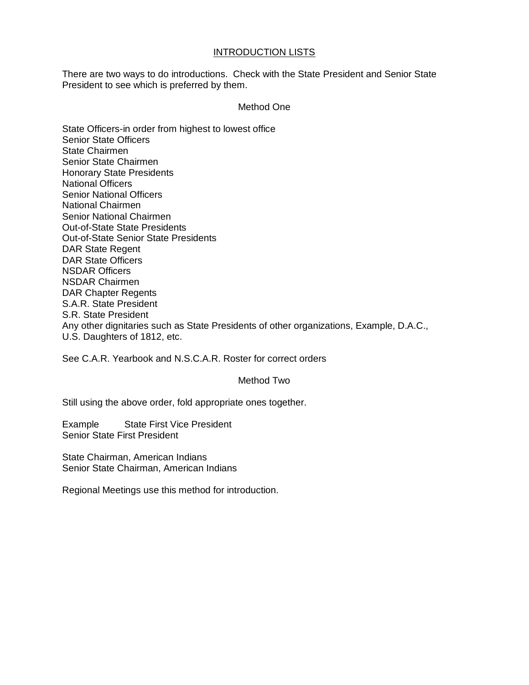# INTRODUCTION LISTS

There are two ways to do introductions. Check with the State President and Senior State President to see which is preferred by them.

# Method One

State Officers-in order from highest to lowest office Senior State Officers State Chairmen Senior State Chairmen Honorary State Presidents National Officers Senior National Officers National Chairmen Senior National Chairmen Out-of-State State Presidents Out-of-State Senior State Presidents DAR State Regent DAR State Officers NSDAR Officers NSDAR Chairmen DAR Chapter Regents S.A.R. State President S.R. State President Any other dignitaries such as State Presidents of other organizations, Example, D.A.C., U.S. Daughters of 1812, etc.

See C.A.R. Yearbook and N.S.C.A.R. Roster for correct orders

# Method Two

Still using the above order, fold appropriate ones together.

Example State First Vice President Senior State First President

State Chairman, American Indians Senior State Chairman, American Indians

Regional Meetings use this method for introduction.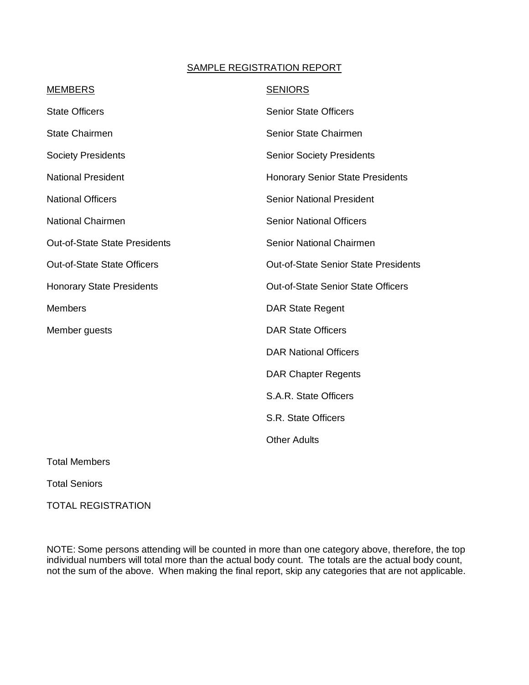# SAMPLE REGISTRATION REPORT

| <b>SENIORS</b>                              |
|---------------------------------------------|
| <b>Senior State Officers</b>                |
| Senior State Chairmen                       |
| <b>Senior Society Presidents</b>            |
| <b>Honorary Senior State Presidents</b>     |
| <b>Senior National President</b>            |
| <b>Senior National Officers</b>             |
| Senior National Chairmen                    |
| <b>Out-of-State Senior State Presidents</b> |
| <b>Out-of-State Senior State Officers</b>   |
| <b>DAR State Regent</b>                     |
| <b>DAR State Officers</b>                   |
| <b>DAR National Officers</b>                |
| <b>DAR Chapter Regents</b>                  |
| S.A.R. State Officers                       |
| S.R. State Officers                         |
| <b>Other Adults</b>                         |
|                                             |

Total Members

Total Seniors

TOTAL REGISTRATION

NOTE: Some persons attending will be counted in more than one category above, therefore, the top individual numbers will total more than the actual body count. The totals are the actual body count, not the sum of the above. When making the final report, skip any categories that are not applicable.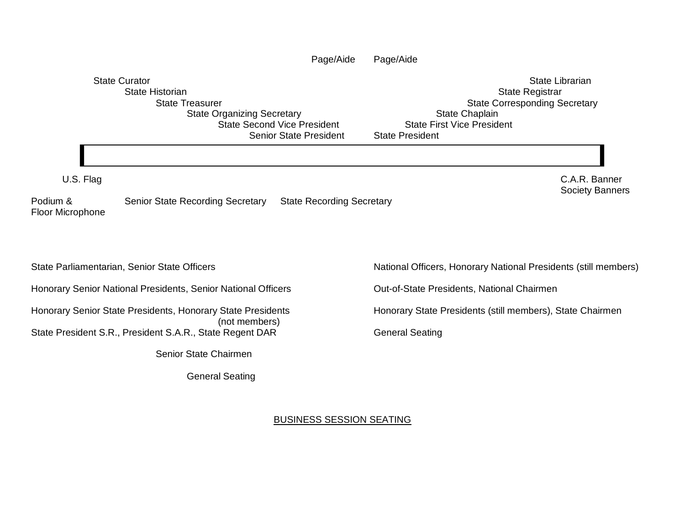|                                                                                                                                                                                      | Page/Aide<br>Page/Aide                                                                                                                                             |
|--------------------------------------------------------------------------------------------------------------------------------------------------------------------------------------|--------------------------------------------------------------------------------------------------------------------------------------------------------------------|
| <b>State Curator</b><br><b>State Historian</b><br><b>State Treasurer</b><br><b>State Organizing Secretary</b><br><b>State Second Vice President</b><br><b>Senior State President</b> | <b>State Librarian</b><br>State Registrar<br><b>State Corresponding Secretary</b><br>State Chaplain<br><b>State First Vice President</b><br><b>State President</b> |
|                                                                                                                                                                                      |                                                                                                                                                                    |
| U.S. Flag                                                                                                                                                                            | C.A.R. Banner<br><b>Society Banners</b>                                                                                                                            |
| Podium &<br><b>Senior State Recording Secretary</b><br><b>Floor Microphone</b>                                                                                                       | <b>State Recording Secretary</b>                                                                                                                                   |
| State Parliamentarian, Senior State Officers                                                                                                                                         | National Officers, Honorary National Presidents (still members)                                                                                                    |
| Honorary Senior National Presidents, Senior National Officers                                                                                                                        | Out-of-State Presidents, National Chairmen                                                                                                                         |
| Honorary Senior State Presidents, Honorary State Presidents                                                                                                                          | Honorary State Presidents (still members), State Chairmen                                                                                                          |
| (not members)<br>State President S.R., President S.A.R., State Regent DAR                                                                                                            | <b>General Seating</b>                                                                                                                                             |
| Senior State Chairmen                                                                                                                                                                |                                                                                                                                                                    |
| <b>General Seating</b>                                                                                                                                                               |                                                                                                                                                                    |
|                                                                                                                                                                                      |                                                                                                                                                                    |
|                                                                                                                                                                                      | <b>BUSINESS SESSION SEATING</b>                                                                                                                                    |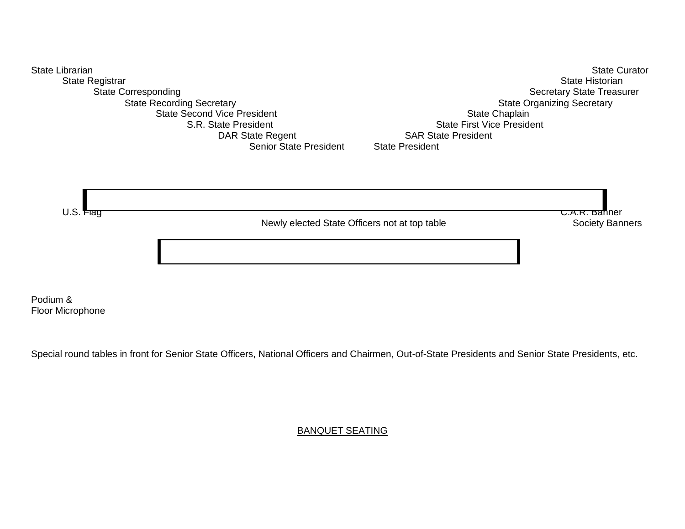

Podium & Floor Microphone

Special round tables in front for Senior State Officers, National Officers and Chairmen, Out-of-State Presidents and Senior State Presidents, etc.

BANQUET SEATING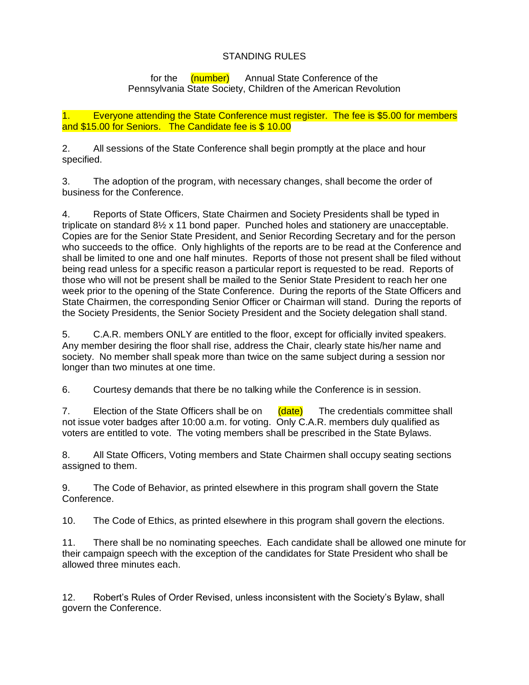# STANDING RULES

for the (number) Annual State Conference of the Pennsylvania State Society, Children of the American Revolution

1. Everyone attending the State Conference must register. The fee is \$5.00 for members and \$15.00 for Seniors. The Candidate fee is \$ 10.00

2. All sessions of the State Conference shall begin promptly at the place and hour specified.

3. The adoption of the program, with necessary changes, shall become the order of business for the Conference.

4. Reports of State Officers, State Chairmen and Society Presidents shall be typed in triplicate on standard 8½ x 11 bond paper. Punched holes and stationery are unacceptable. Copies are for the Senior State President, and Senior Recording Secretary and for the person who succeeds to the office. Only highlights of the reports are to be read at the Conference and shall be limited to one and one half minutes. Reports of those not present shall be filed without being read unless for a specific reason a particular report is requested to be read. Reports of those who will not be present shall be mailed to the Senior State President to reach her one week prior to the opening of the State Conference. During the reports of the State Officers and State Chairmen, the corresponding Senior Officer or Chairman will stand. During the reports of the Society Presidents, the Senior Society President and the Society delegation shall stand.

5. C.A.R. members ONLY are entitled to the floor, except for officially invited speakers. Any member desiring the floor shall rise, address the Chair, clearly state his/her name and society. No member shall speak more than twice on the same subject during a session nor longer than two minutes at one time.

6. Courtesy demands that there be no talking while the Conference is in session.

7. Election of the State Officers shall be on  $(\text{date})$  The credentials committee shall not issue voter badges after 10:00 a.m. for voting. Only C.A.R. members duly qualified as voters are entitled to vote. The voting members shall be prescribed in the State Bylaws.

8. All State Officers, Voting members and State Chairmen shall occupy seating sections assigned to them.

9. The Code of Behavior, as printed elsewhere in this program shall govern the State Conference.

10. The Code of Ethics, as printed elsewhere in this program shall govern the elections.

11. There shall be no nominating speeches. Each candidate shall be allowed one minute for their campaign speech with the exception of the candidates for State President who shall be allowed three minutes each.

12. Robert's Rules of Order Revised, unless inconsistent with the Society's Bylaw, shall govern the Conference.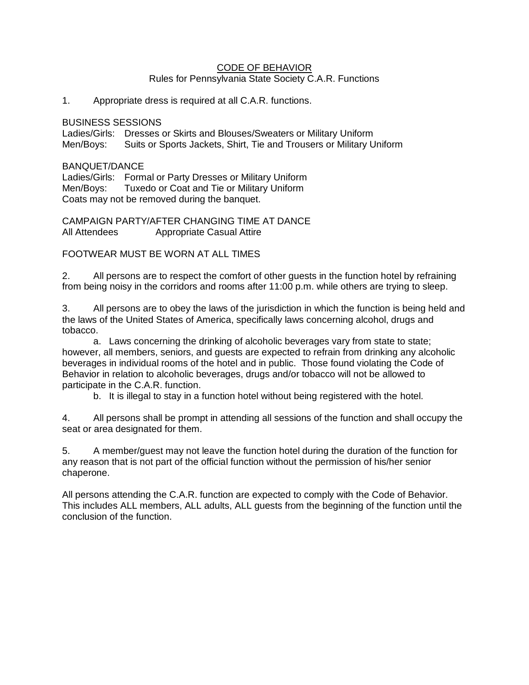#### CODE OF BEHAVIOR Rules for Pennsylvania State Society C.A.R. Functions

# 1. Appropriate dress is required at all C.A.R. functions.

#### BUSINESS SESSIONS

Ladies/Girls: Dresses or Skirts and Blouses/Sweaters or Military Uniform Men/Boys: Suits or Sports Jackets, Shirt, Tie and Trousers or Military Uniform

## BANQUET/DANCE

Ladies/Girls: Formal or Party Dresses or Military Uniform Men/Boys: Tuxedo or Coat and Tie or Military Uniform Coats may not be removed during the banquet.

CAMPAIGN PARTY/AFTER CHANGING TIME AT DANCE All Attendees Appropriate Casual Attire

FOOTWEAR MUST BE WORN AT ALL TIMES

2. All persons are to respect the comfort of other guests in the function hotel by refraining from being noisy in the corridors and rooms after 11:00 p.m. while others are trying to sleep.

3. All persons are to obey the laws of the jurisdiction in which the function is being held and the laws of the United States of America, specifically laws concerning alcohol, drugs and tobacco.

a. Laws concerning the drinking of alcoholic beverages vary from state to state; however, all members, seniors, and guests are expected to refrain from drinking any alcoholic beverages in individual rooms of the hotel and in public. Those found violating the Code of Behavior in relation to alcoholic beverages, drugs and/or tobacco will not be allowed to participate in the C.A.R. function.

b. It is illegal to stay in a function hotel without being registered with the hotel.

4. All persons shall be prompt in attending all sessions of the function and shall occupy the seat or area designated for them.

5. A member/guest may not leave the function hotel during the duration of the function for any reason that is not part of the official function without the permission of his/her senior chaperone.

All persons attending the C.A.R. function are expected to comply with the Code of Behavior. This includes ALL members, ALL adults, ALL guests from the beginning of the function until the conclusion of the function.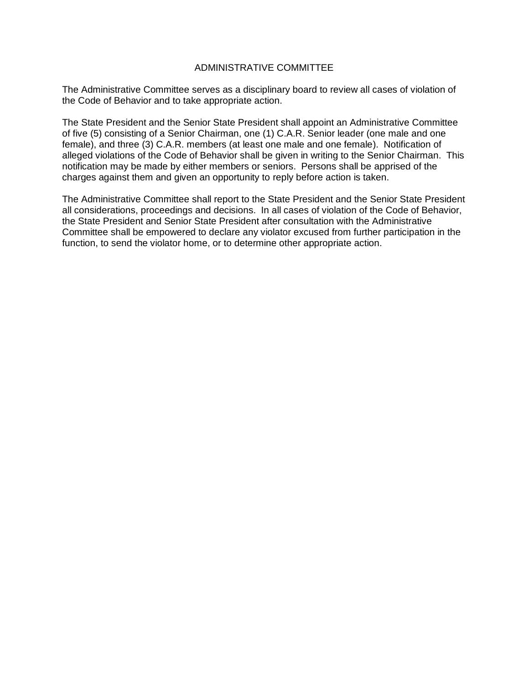# ADMINISTRATIVE COMMITTEE

The Administrative Committee serves as a disciplinary board to review all cases of violation of the Code of Behavior and to take appropriate action.

The State President and the Senior State President shall appoint an Administrative Committee of five (5) consisting of a Senior Chairman, one (1) C.A.R. Senior leader (one male and one female), and three (3) C.A.R. members (at least one male and one female). Notification of alleged violations of the Code of Behavior shall be given in writing to the Senior Chairman. This notification may be made by either members or seniors. Persons shall be apprised of the charges against them and given an opportunity to reply before action is taken.

The Administrative Committee shall report to the State President and the Senior State President all considerations, proceedings and decisions. In all cases of violation of the Code of Behavior, the State President and Senior State President after consultation with the Administrative Committee shall be empowered to declare any violator excused from further participation in the function, to send the violator home, or to determine other appropriate action.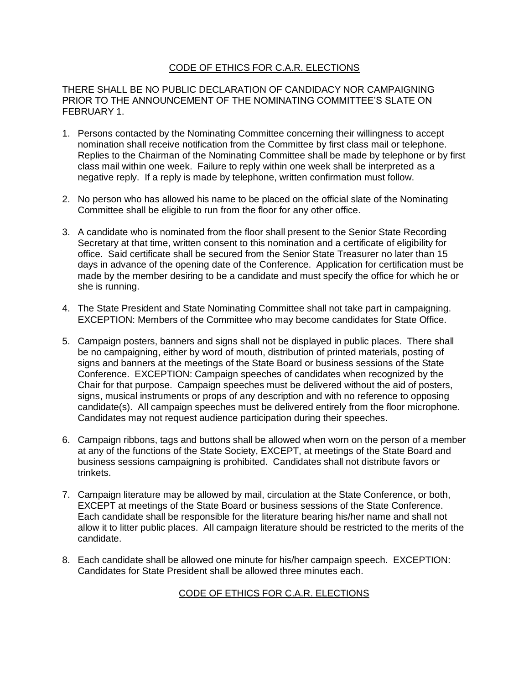# CODE OF ETHICS FOR C.A.R. ELECTIONS

THERE SHALL BE NO PUBLIC DECLARATION OF CANDIDACY NOR CAMPAIGNING PRIOR TO THE ANNOUNCEMENT OF THE NOMINATING COMMITTEE'S SLATE ON FEBRUARY 1.

- 1. Persons contacted by the Nominating Committee concerning their willingness to accept nomination shall receive notification from the Committee by first class mail or telephone. Replies to the Chairman of the Nominating Committee shall be made by telephone or by first class mail within one week. Failure to reply within one week shall be interpreted as a negative reply. If a reply is made by telephone, written confirmation must follow.
- 2. No person who has allowed his name to be placed on the official slate of the Nominating Committee shall be eligible to run from the floor for any other office.
- 3. A candidate who is nominated from the floor shall present to the Senior State Recording Secretary at that time, written consent to this nomination and a certificate of eligibility for office. Said certificate shall be secured from the Senior State Treasurer no later than 15 days in advance of the opening date of the Conference. Application for certification must be made by the member desiring to be a candidate and must specify the office for which he or she is running.
- 4. The State President and State Nominating Committee shall not take part in campaigning. EXCEPTION: Members of the Committee who may become candidates for State Office.
- 5. Campaign posters, banners and signs shall not be displayed in public places. There shall be no campaigning, either by word of mouth, distribution of printed materials, posting of signs and banners at the meetings of the State Board or business sessions of the State Conference. EXCEPTION: Campaign speeches of candidates when recognized by the Chair for that purpose. Campaign speeches must be delivered without the aid of posters, signs, musical instruments or props of any description and with no reference to opposing candidate(s). All campaign speeches must be delivered entirely from the floor microphone. Candidates may not request audience participation during their speeches.
- 6. Campaign ribbons, tags and buttons shall be allowed when worn on the person of a member at any of the functions of the State Society, EXCEPT, at meetings of the State Board and business sessions campaigning is prohibited. Candidates shall not distribute favors or trinkets.
- 7. Campaign literature may be allowed by mail, circulation at the State Conference, or both, EXCEPT at meetings of the State Board or business sessions of the State Conference. Each candidate shall be responsible for the literature bearing his/her name and shall not allow it to litter public places. All campaign literature should be restricted to the merits of the candidate.
- 8. Each candidate shall be allowed one minute for his/her campaign speech. EXCEPTION: Candidates for State President shall be allowed three minutes each.

CODE OF ETHICS FOR C.A.R. ELECTIONS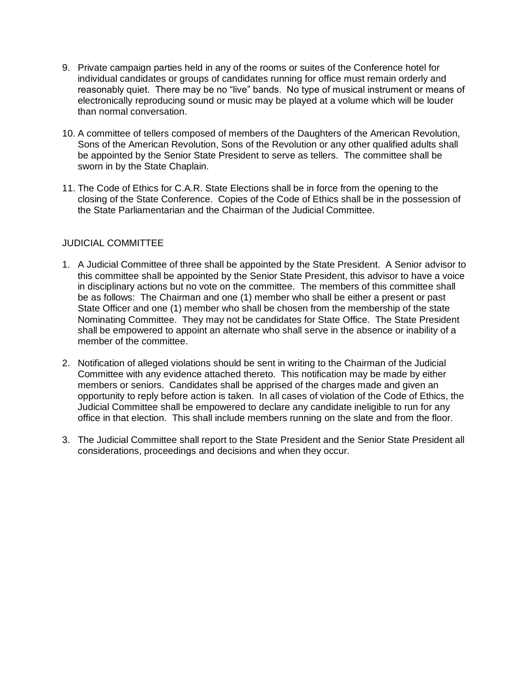- 9. Private campaign parties held in any of the rooms or suites of the Conference hotel for individual candidates or groups of candidates running for office must remain orderly and reasonably quiet. There may be no "live" bands. No type of musical instrument or means of electronically reproducing sound or music may be played at a volume which will be louder than normal conversation.
- 10. A committee of tellers composed of members of the Daughters of the American Revolution, Sons of the American Revolution, Sons of the Revolution or any other qualified adults shall be appointed by the Senior State President to serve as tellers. The committee shall be sworn in by the State Chaplain.
- 11. The Code of Ethics for C.A.R. State Elections shall be in force from the opening to the closing of the State Conference. Copies of the Code of Ethics shall be in the possession of the State Parliamentarian and the Chairman of the Judicial Committee.

# JUDICIAL COMMITTEE

- 1. A Judicial Committee of three shall be appointed by the State President. A Senior advisor to this committee shall be appointed by the Senior State President, this advisor to have a voice in disciplinary actions but no vote on the committee. The members of this committee shall be as follows: The Chairman and one (1) member who shall be either a present or past State Officer and one (1) member who shall be chosen from the membership of the state Nominating Committee. They may not be candidates for State Office. The State President shall be empowered to appoint an alternate who shall serve in the absence or inability of a member of the committee.
- 2. Notification of alleged violations should be sent in writing to the Chairman of the Judicial Committee with any evidence attached thereto. This notification may be made by either members or seniors. Candidates shall be apprised of the charges made and given an opportunity to reply before action is taken. In all cases of violation of the Code of Ethics, the Judicial Committee shall be empowered to declare any candidate ineligible to run for any office in that election. This shall include members running on the slate and from the floor.
- 3. The Judicial Committee shall report to the State President and the Senior State President all considerations, proceedings and decisions and when they occur.